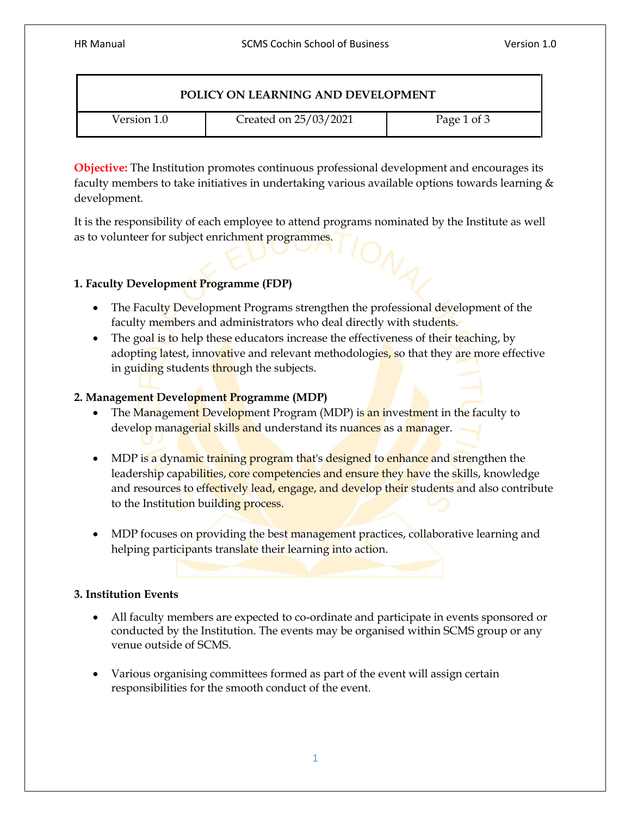| POLICY ON LEARNING AND DEVELOPMENT |                       |             |
|------------------------------------|-----------------------|-------------|
| Version 1.0                        | Created on 25/03/2021 | Page 1 of 3 |

**Objective:** The Institution promotes continuous professional development and encourages its faculty members to take initiatives in undertaking various available options towards learning & development.

It is the responsibility of each employee to attend programs nominated by the Institute as well as to volunteer for subject enrichment programmes.

# **1. Faculty Development Programme (FDP)**

- The Faculty Development Programs strengthen the professional development of the faculty members and administrators who deal directly with students.
- The goal is to help these educators increase the effectiveness of their teaching, by adopting latest, innovative and relevant methodologies, so that they are more effective in guiding students through the subjects.

## **2. Management Development Programme (MDP)**

- The Management Development Program (MDP) is an investment in the faculty to develop managerial skills and understand its nuances as a manager.
- MDP is a dynamic training program that's designed to enhance and strengthen the leadership capabilities, core competencies and ensure they have the skills, knowledge and resources to effectively lead, engage, and develop their students and also contribute to the Institution building process.
- MDP focuses on providing the best management practices, collaborative learning and helping participants translate their learning into action.

# **3. Institution Events**

- All faculty members are expected to co-ordinate and participate in events sponsored or conducted by the Institution. The events may be organised within SCMS group or any venue outside of SCMS.
- Various organising committees formed as part of the event will assign certain responsibilities for the smooth conduct of the event.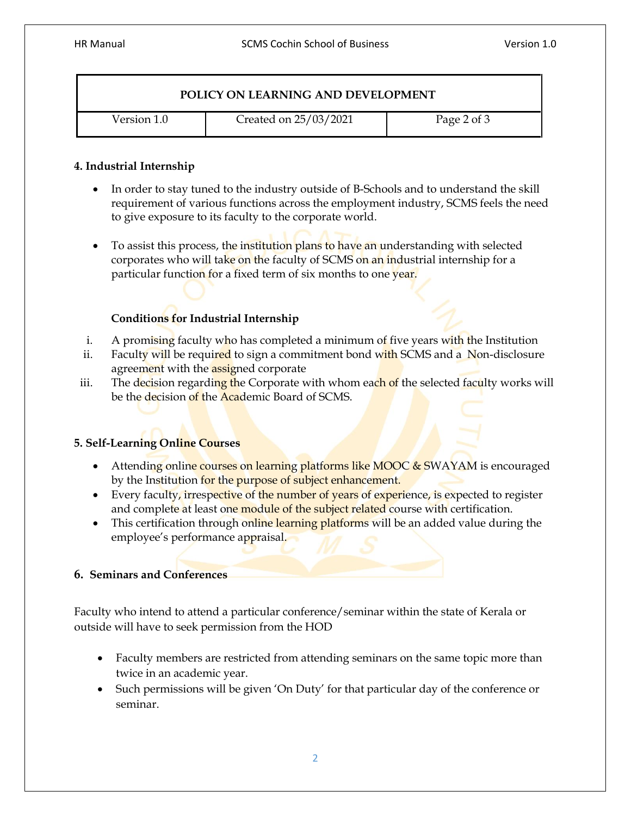#### **POLICY ON LEARNING AND DEVELOPMENT**

Version 1.0 **Created on 25/03/2021** Page 2 of 3

#### **4. Industrial Internship**

- In order to stay tuned to the industry outside of B-Schools and to understand the skill requirement of various functions across the employment industry, SCMS feels the need to give exposure to its faculty to the corporate world.
- To assist this process, the institution plans to have an understanding with selected corporates who will take on the faculty of SCMS on an industrial internship for a particular function for a fixed term of six months to one year.

## **Conditions for Industrial Internship**

- i. A promising faculty who has completed a minimum of five years with the Institution
- ii. Faculty will be required to sign a commitment bond with SCMS and a Non-disclosure agreement with the **assigned** corporate
- iii. The decision regarding the Corporate with whom each of the selected faculty works will be the decision of the Academic Board of SCMS.

### **5. Self-Learning Online Courses**

- Attending online courses on learning platforms like MOOC & SWAYAM is encouraged by the Institution for the purpose of subject enhancement.
- Every faculty, irrespective of the number of years of experience, is expected to register and complete at least one module of the subject related course with certification.
- This certification through online learning platforms will be an added value during the employee's performance appraisal.

### **6. Seminars and Conferences**

Faculty who intend to attend a particular conference/seminar within the state of Kerala or outside will have to seek permission from the HOD

- Faculty members are restricted from attending seminars on the same topic more than twice in an academic year.
- Such permissions will be given 'On Duty' for that particular day of the conference or seminar.